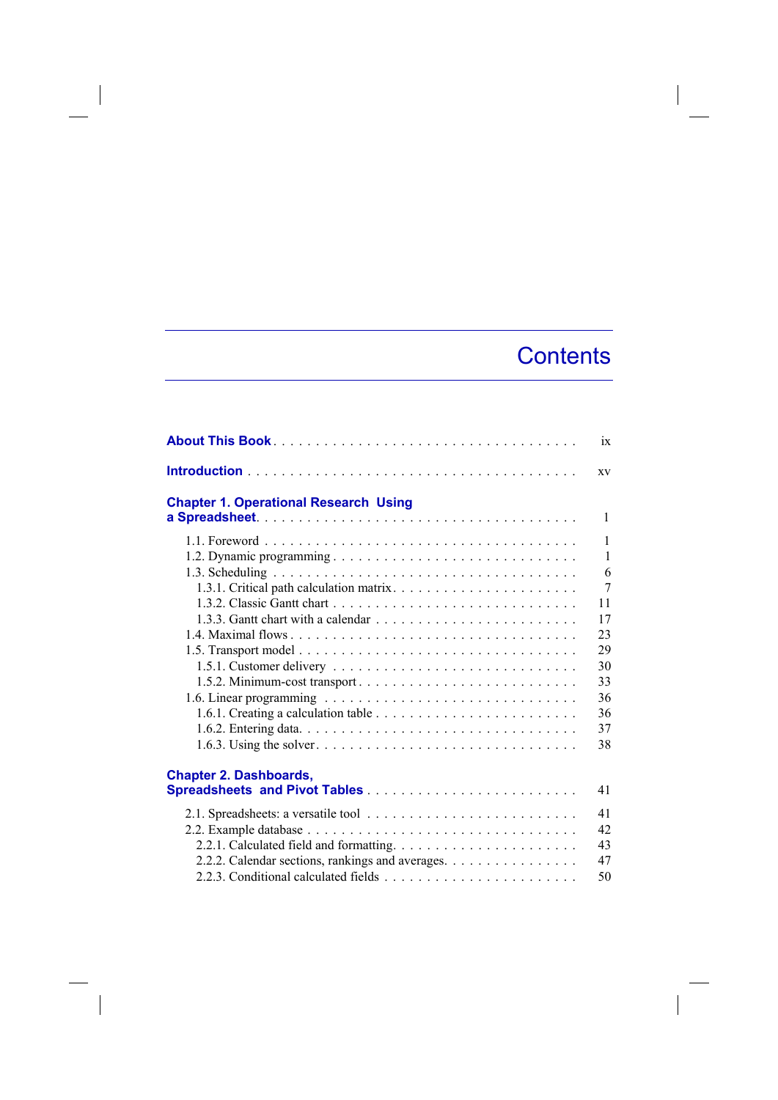## **Contents**

|                                                  | ix             |
|--------------------------------------------------|----------------|
|                                                  | <b>XV</b>      |
| <b>Chapter 1. Operational Research Using</b>     | $\mathbf{1}$   |
|                                                  |                |
|                                                  | $\mathbf{1}$   |
|                                                  | $\mathbf{1}$   |
|                                                  | 6              |
|                                                  | $\overline{7}$ |
|                                                  | 11             |
|                                                  | 17             |
|                                                  | 23             |
|                                                  | 29             |
|                                                  | 30             |
|                                                  | 33             |
|                                                  | 36             |
|                                                  | 36             |
|                                                  | 37             |
|                                                  | 38             |
|                                                  |                |
| <b>Chapter 2. Dashboards,</b>                    |                |
|                                                  | 41             |
|                                                  | 41             |
|                                                  | 42             |
|                                                  | 43             |
| 2.2.2. Calendar sections, rankings and averages. | 47             |
|                                                  | 50             |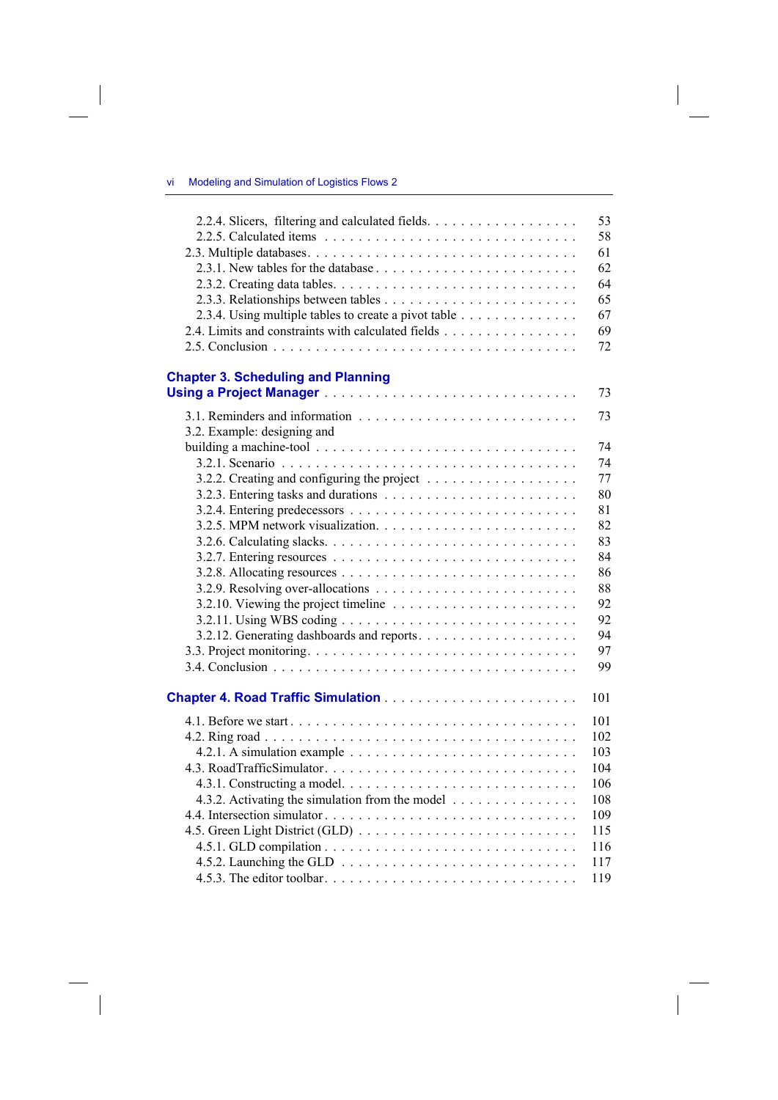$\overline{\phantom{a}}$ 

 $\begin{array}{c} \hline \end{array}$ 

| 2.2.4. Slicers, filtering and calculated fields.     | 53  |
|------------------------------------------------------|-----|
|                                                      | 58  |
|                                                      | 61  |
|                                                      | 62  |
|                                                      | 64  |
|                                                      | 65  |
| 2.3.4. Using multiple tables to create a pivot table | 67  |
| 2.4. Limits and constraints with calculated fields   | 69  |
|                                                      | 72  |
|                                                      |     |
| <b>Chapter 3. Scheduling and Planning</b>            | 73  |
|                                                      |     |
|                                                      | 73  |
| 3.2. Example: designing and                          |     |
|                                                      | 74  |
|                                                      | 74  |
|                                                      | 77  |
|                                                      | 80  |
|                                                      | 81  |
|                                                      | 82  |
|                                                      | 83  |
|                                                      | 84  |
|                                                      | 86  |
|                                                      | 88  |
|                                                      | 92  |
|                                                      | 92  |
|                                                      | 94  |
|                                                      | 97  |
|                                                      | 99  |
|                                                      |     |
|                                                      | 101 |
|                                                      | 101 |
|                                                      | 102 |
|                                                      | 103 |
|                                                      | 104 |
|                                                      | 106 |
| 4.3.2. Activating the simulation from the model      | 108 |
|                                                      | 109 |
|                                                      | 115 |
|                                                      | 116 |
|                                                      | 117 |
|                                                      | 119 |
|                                                      |     |

 $\overline{\phantom{a}}$